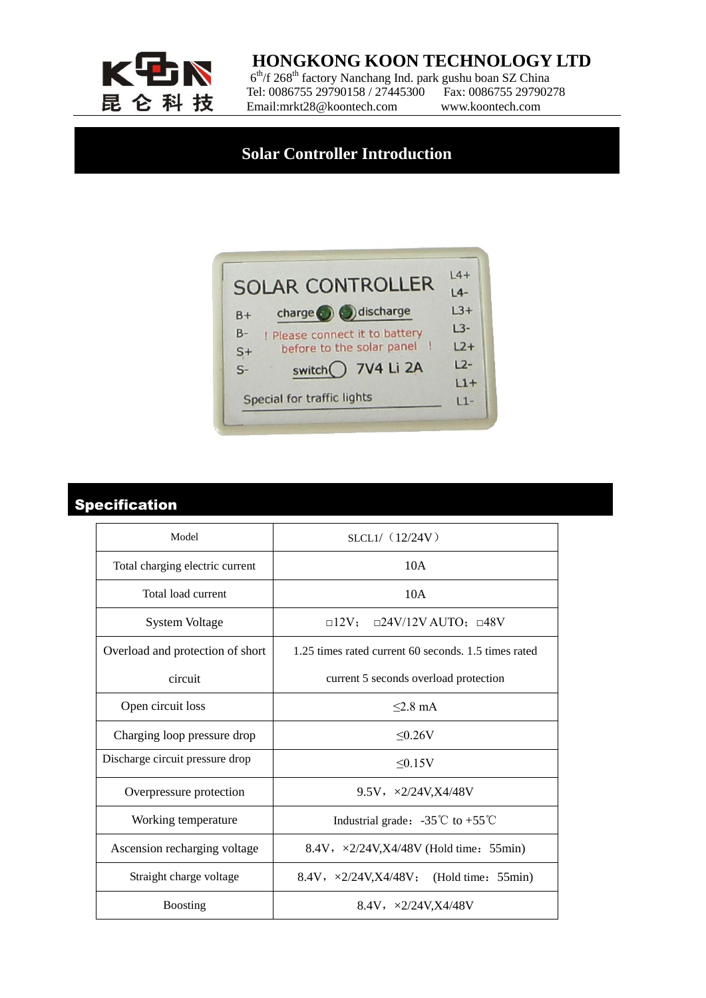

### **HONGKONG KOON TECHNOLOGY LTD**

 $6<sup>th</sup>/f$  268<sup>th</sup> factory Nanchang Ind. park gushu boan SZ China  $E \cong \mathbb{Z}$  Tel: 0086755 29790158 / 27445300 Fax: 0086755 29790278 Email:mrkt28@koontech.com www.koontech.com

## **Solar Controller Introduction**



## Specification

| Model                            | SLCL1/ (12/24V)                                                  |
|----------------------------------|------------------------------------------------------------------|
| Total charging electric current  | 10A                                                              |
| Total load current               | 10A                                                              |
| <b>System Voltage</b>            | $\Box$ 12V; $\Box$ 24V/12V AUTO; $\Box$ 48V                      |
| Overload and protection of short | 1.25 times rated current 60 seconds, 1.5 times rated             |
| circuit                          | current 5 seconds overload protection                            |
| Open circuit loss                | $<$ 2 8 mA                                                       |
| Charging loop pressure drop      | $\leq 0.26V$                                                     |
| Discharge circuit pressure drop  | $\leq 0.15V$                                                     |
| Overpressure protection          | 9.5V, $\sqrt{2}/24V$ , X4/48V                                    |
| Working temperature              | Industrial grade: $-35^{\circ}\text{C}$ to $+55^{\circ}\text{C}$ |
| Ascension recharging voltage     | 8.4V, $\sqrt{2}/24V$ , X4/48V (Hold time: 55min)                 |
| Straight charge voltage          | 8.4V, $\sqrt{2}/24V$ , X4/48V; (Hold time: 55min)                |
| <b>Boosting</b>                  | 8.4V, $\sqrt{2}/24V$ , X4/48V                                    |